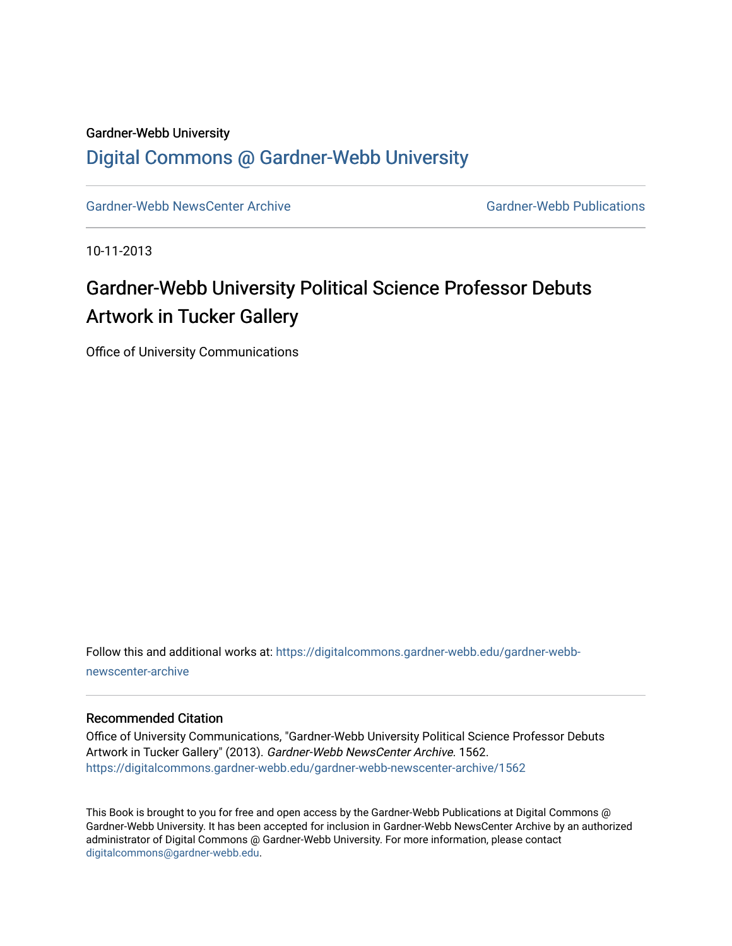### Gardner-Webb University

### [Digital Commons @ Gardner-Webb University](https://digitalcommons.gardner-webb.edu/)

[Gardner-Webb NewsCenter Archive](https://digitalcommons.gardner-webb.edu/gardner-webb-newscenter-archive) Gardner-Webb Publications

10-11-2013

# Gardner-Webb University Political Science Professor Debuts Artwork in Tucker Gallery

Office of University Communications

Follow this and additional works at: [https://digitalcommons.gardner-webb.edu/gardner-webb](https://digitalcommons.gardner-webb.edu/gardner-webb-newscenter-archive?utm_source=digitalcommons.gardner-webb.edu%2Fgardner-webb-newscenter-archive%2F1562&utm_medium=PDF&utm_campaign=PDFCoverPages)[newscenter-archive](https://digitalcommons.gardner-webb.edu/gardner-webb-newscenter-archive?utm_source=digitalcommons.gardner-webb.edu%2Fgardner-webb-newscenter-archive%2F1562&utm_medium=PDF&utm_campaign=PDFCoverPages)

#### Recommended Citation

Office of University Communications, "Gardner-Webb University Political Science Professor Debuts Artwork in Tucker Gallery" (2013). Gardner-Webb NewsCenter Archive. 1562. [https://digitalcommons.gardner-webb.edu/gardner-webb-newscenter-archive/1562](https://digitalcommons.gardner-webb.edu/gardner-webb-newscenter-archive/1562?utm_source=digitalcommons.gardner-webb.edu%2Fgardner-webb-newscenter-archive%2F1562&utm_medium=PDF&utm_campaign=PDFCoverPages) 

This Book is brought to you for free and open access by the Gardner-Webb Publications at Digital Commons @ Gardner-Webb University. It has been accepted for inclusion in Gardner-Webb NewsCenter Archive by an authorized administrator of Digital Commons @ Gardner-Webb University. For more information, please contact [digitalcommons@gardner-webb.edu](mailto:digitalcommons@gardner-webb.edu).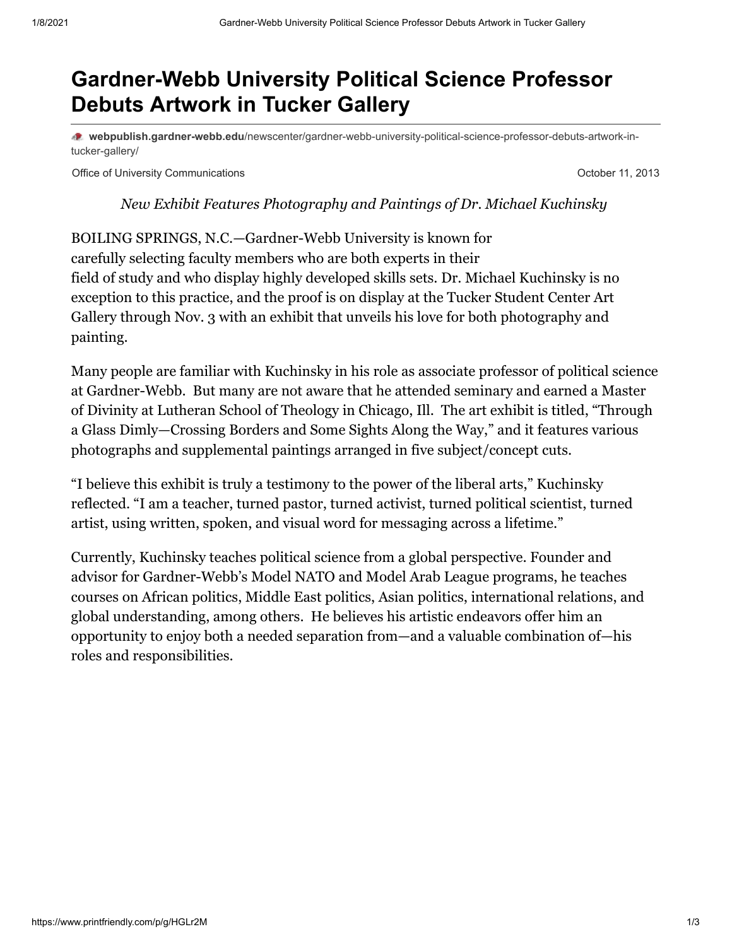## **Gardner-Webb University Political Science Professor Debuts Artwork in Tucker Gallery**

**webpublish.gardner-webb.edu**[/newscenter/gardner-webb-university-political-science-professor-debuts-artwork-in](https://webpublish.gardner-webb.edu/newscenter/gardner-webb-university-political-science-professor-debuts-artwork-in-tucker-gallery/)tucker-gallery/

Office of University Communications **October 11, 2013** 

*New Exhibit Features Photography and Paintings of Dr. Michael Kuchinsky*

BOILING SPRINGS, N.C.—Gardner-Webb University is known for carefully selecting faculty members who are both experts in their field of study and who display highly developed skills sets. Dr. Michael Kuchinsky is no exception to this practice, and the proof is on display at the Tucker Student Center Art Gallery through Nov. 3 with an exhibit that unveils his love for both photography and painting.

Many people are familiar with Kuchinsky in his role as associate professor of political science at Gardner-Webb. But many are not aware that he attended seminary and earned a Master of Divinity at Lutheran School of Theology in Chicago, Ill. The art exhibit is titled, "Through a Glass Dimly—Crossing Borders and Some Sights Along the Way," and it features various photographs and supplemental paintings arranged in five subject/concept cuts.

"I believe this exhibit is truly a testimony to the power of the liberal arts," Kuchinsky reflected. "I am a teacher, turned pastor, turned activist, turned political scientist, turned artist, using written, spoken, and visual word for messaging across a lifetime."

Currently, Kuchinsky teaches political science from a global perspective. Founder and advisor for Gardner-Webb's Model NATO and Model Arab League programs, he teaches courses on African politics, Middle East politics, Asian politics, international relations, and global understanding, among others. He believes his artistic endeavors offer him an opportunity to enjoy both a needed separation from—and a valuable combination of—his roles and responsibilities.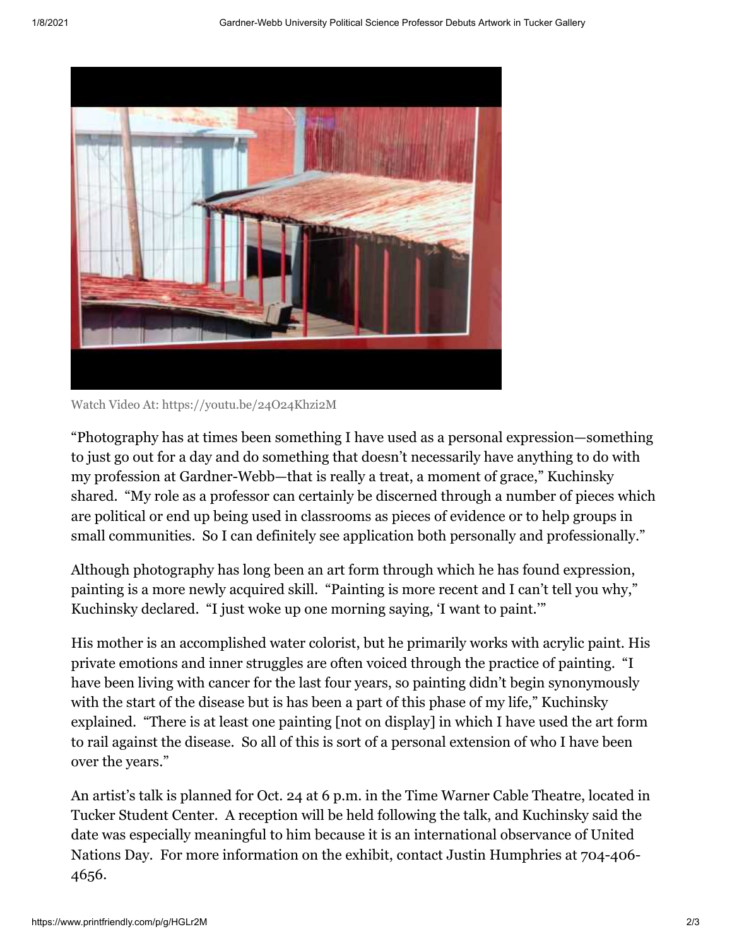

Watch Video [At: https://youtu.be/24O24Khzi2M](https://youtu.be/24O24Khzi2M)

"Photography has at times been something I have used as a personal expression—something to just go out for a day and do something that doesn't necessarily have anything to do with my profession at Gardner-Webb—that is really a treat, a moment of grace," Kuchinsky shared. "My role as a professor can certainly be discerned through a number of pieces which are political or end up being used in classrooms as pieces of evidence or to help groups in small communities. So I can definitely see application both personally and professionally."

Although photography has long been an art form through which he has found expression, painting is a more newly acquired skill. "Painting is more recent and I can't tell you why," Kuchinsky declared. "I just woke up one morning saying, 'I want to paint.'"

His mother is an accomplished water colorist, but he primarily works with acrylic paint. His private emotions and inner struggles are often voiced through the practice of painting. "I have been living with cancer for the last four years, so painting didn't begin synonymously with the start of the disease but is has been a part of this phase of my life," Kuchinsky explained. "There is at least one painting [not on display] in which I have used the art form to rail against the disease. So all of this is sort of a personal extension of who I have been over the years."

An artist's talk is planned for Oct. 24 at 6 p.m. in the Time Warner Cable Theatre, located in Tucker Student Center. A reception will be held following the talk, and Kuchinsky said the date was especially meaningful to him because it is an international observance of United Nations Day. For more information on the exhibit, contact Justin Humphries at 704-406- 4656.